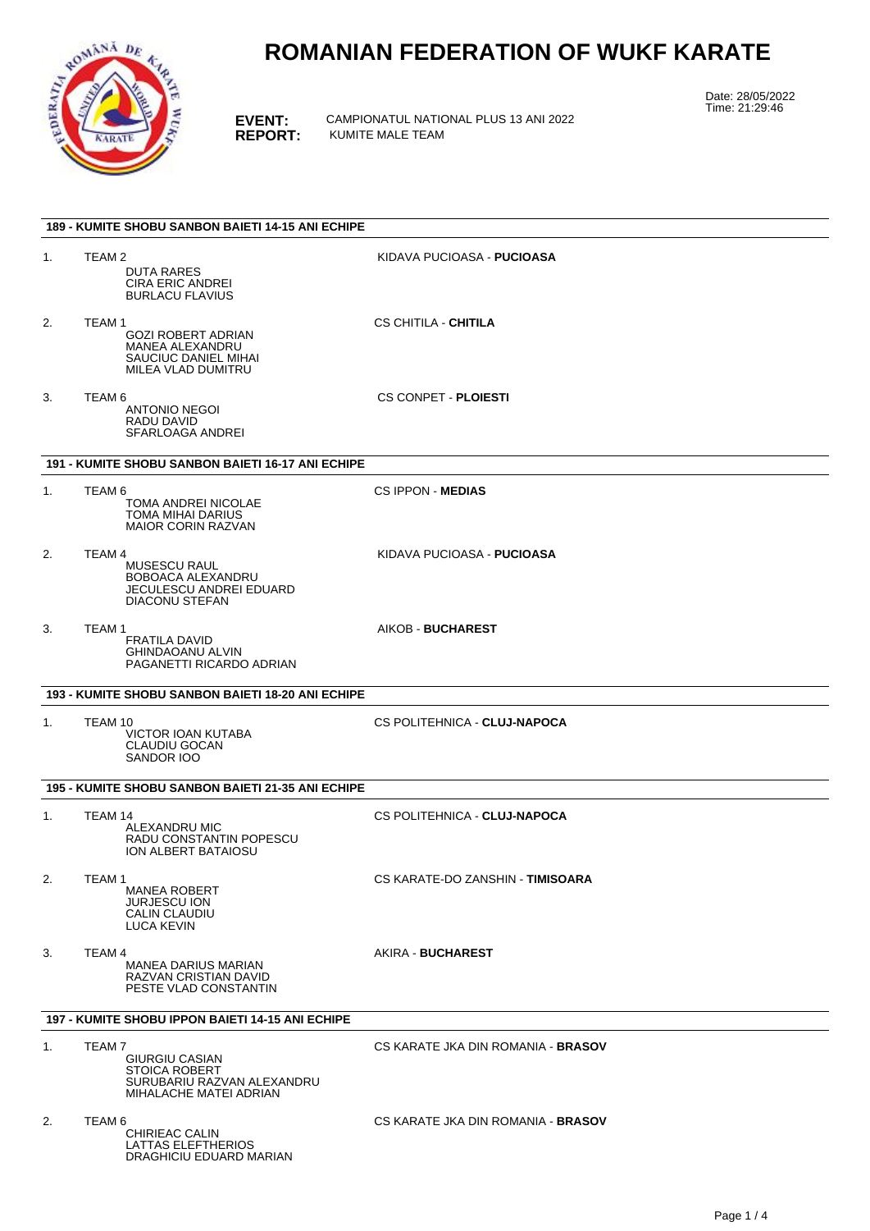

DRAGHICIU EDUARD MARIAN

# **ROMANIAN FEDERATION OF WUKF KARATE**

**EVENT:** CAMPIONATUL NATIONAL PLUS 13 ANI 2022 **REPORT:** KUMITE MALE TEAM

Date: 28/05/2022 Time: 21:29:46

|                | <b>189 - KUMITE SHOBU SANBON BAIETI 14-15 ANI ECHIPE</b>                                                        |                                    |  |  |  |  |
|----------------|-----------------------------------------------------------------------------------------------------------------|------------------------------------|--|--|--|--|
| 1.             | TEAM <sub>2</sub><br><b>DUTA RARES</b><br><b>CIRA ERIC ANDREI</b><br><b>BURLACU FLAVIUS</b>                     | KIDAVA PUCIOASA - <b>PUCIOASA</b>  |  |  |  |  |
| 2.             | TEAM 1<br><b>GOZI ROBERT ADRIAN</b><br>MANEA ALEXANDRU<br>SAUCIUC DANIEL MIHAI<br>MILEA VLAD DUMITRU            | CS CHITILA - <b>CHITILA</b>        |  |  |  |  |
| 3.             | TEAM <sub>6</sub><br>ANTONIO NEGOI<br>RADU DAVID<br>SFARLOAGA ANDREI                                            | <b>CS CONPET - PLOIESTI</b>        |  |  |  |  |
|                | 191 - KUMITE SHOBU SANBON BAIETI 16-17 ANI ECHIPE                                                               |                                    |  |  |  |  |
| 1.             | TEAM 6<br>TOMA ANDREI NICOLAE<br>TOMA MIHAI DARIUS<br><b>MAIOR CORIN RAZVAN</b>                                 | <b>CS IPPON - MEDIAS</b>           |  |  |  |  |
| 2.             | TEAM 4<br><b>MUSESCU RAUL</b><br>BOBOACA ALEXANDRU<br>JECULESCU ANDREI EDUARD<br><b>DIACONU STEFAN</b>          | KIDAVA PUCIOASA - <b>PUCIOASA</b>  |  |  |  |  |
| 3.             | TEAM 1<br><b>FRATILA DAVID</b><br><b>GHINDAOANU ALVIN</b><br>PAGANETTI RICARDO ADRIAN                           | AIKOB - BUCHAREST                  |  |  |  |  |
|                | 193 - KUMITE SHOBU SANBON BAIETI 18-20 ANI ECHIPE                                                               |                                    |  |  |  |  |
| 1.             | TEAM 10<br>VICTOR IOAN KUTABA<br>CLAUDIU GOCAN<br>SANDOR IOO                                                    | CS POLITEHNICA - CLUJ-NAPOCA       |  |  |  |  |
|                | 195 - KUMITE SHOBU SANBON BAIETI 21-35 ANI ECHIPE                                                               |                                    |  |  |  |  |
| $\mathbf{1}$ . | TEAM 14<br>ALEXANDRU MIC<br>RADU CONSTANTIN POPESCU<br>ION ALBERT BATAIOSU                                      | CS POLITEHNICA - CLUJ-NAPOCA       |  |  |  |  |
| 2.             | TEAM <sub>1</sub><br><b>MANEA ROBERT</b><br><b>JURJESCU ION</b><br>CALIN CLAUDIU<br><b>LUCA KEVIN</b>           | CS KARATE-DO ZANSHIN - TIMISOARA   |  |  |  |  |
| 3.             | TEAM 4<br><b>MANEA DARIUS MARIAN</b><br>RAZVAN CRISTIAN DAVID<br>PESTE VLAD CONSTANTIN                          | AKIRA - <b>BUCHAREST</b>           |  |  |  |  |
|                | 197 - KUMITE SHOBU IPPON BAIETI 14-15 ANI ECHIPE                                                                |                                    |  |  |  |  |
| 1.             | TEAM 7<br><b>GIURGIU CASIAN</b><br><b>STOICA ROBERT</b><br>SURUBARIU RAZVAN ALEXANDRU<br>MIHALACHE MATEI ADRIAN | CS KARATE JKA DIN ROMANIA - BRASOV |  |  |  |  |
| 2.             | TEAM <sub>6</sub><br>CHIRIEAC CALIN<br>LATTAS ELEFTHERIOS                                                       | CS KARATE JKA DIN ROMANIA - BRASOV |  |  |  |  |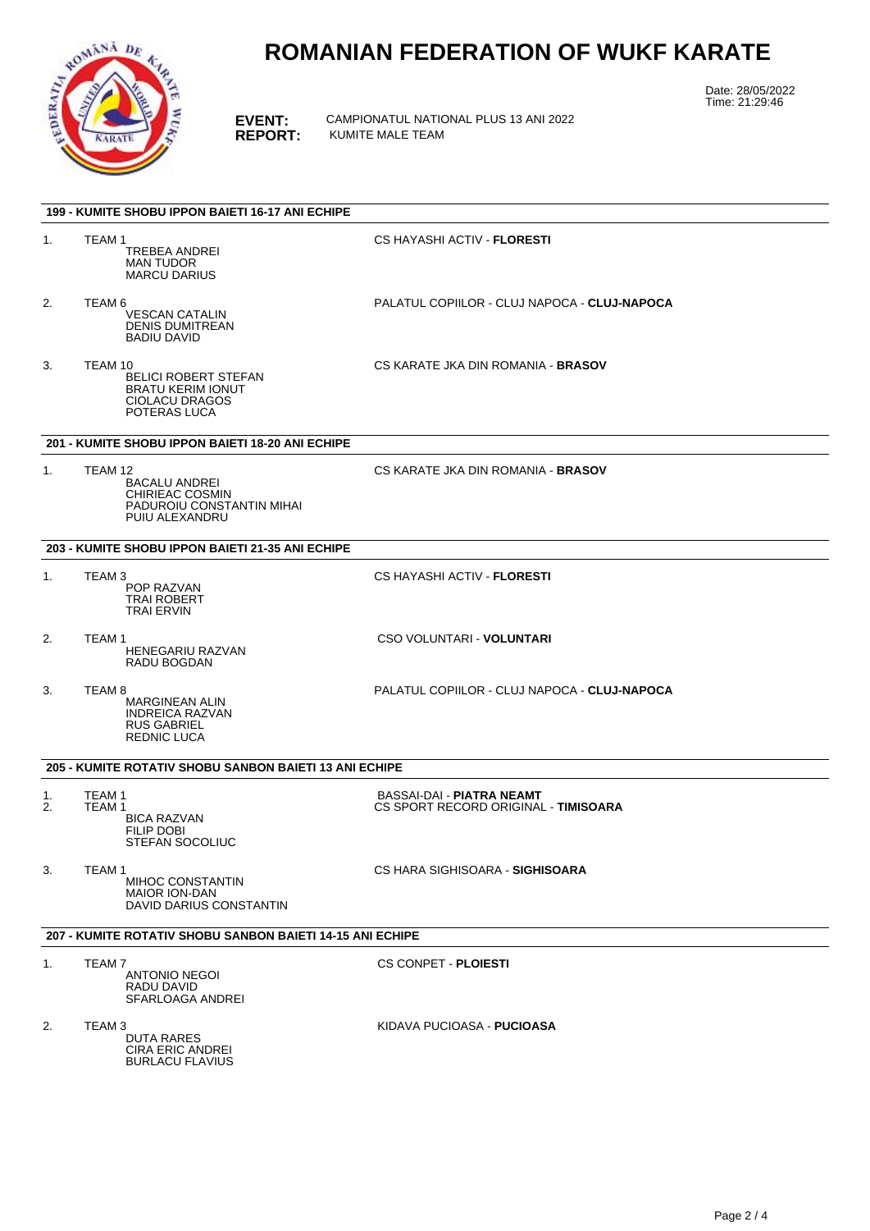

# **ROMANIAN FEDERATION OF WUKF KARATE**

**EVENT:** CAMPIONATUL NATIONAL PLUS 13 ANI 2022 **REPORT:** KUMITE MALE TEAM

Date: 28/05/2022 Time: 21:29:46

|                | 199 - KUMITE SHOBU IPPON BAIETI 16-17 ANI ECHIPE                                                            |                                                                   |
|----------------|-------------------------------------------------------------------------------------------------------------|-------------------------------------------------------------------|
| 1.             | TEAM 1<br><b>TREBEA ANDREI</b><br>MAN TUDOR<br><b>MARCU DARIUS</b>                                          | CS HAYASHI ACTIV - <b>FLORESTI</b>                                |
| 2.             | TEAM 6<br><b>VESCAN CATALIN</b><br><b>DENIS DUMITREAN</b><br><b>BADIU DAVID</b>                             | PALATUL COPIILOR - CLUJ NAPOCA - CLUJ-NAPOCA                      |
| 3.             | TEAM 10<br><b>BELICI ROBERT STEFAN</b><br><b>BRATU KERIM IONUT</b><br><b>CIOLACU DRAGOS</b><br>POTERAS LUCA | CS KARATE JKA DIN ROMANIA - <b>BRASOV</b>                         |
|                | 201 - KUMITE SHOBU IPPON BAIETI 18-20 ANI ECHIPE                                                            |                                                                   |
| $\mathbf{1}$ . | TEAM 12<br><b>BACALU ANDREI</b><br>CHIRIEAC COSMIN<br>PADUROIU CONSTANTIN MIHAI<br>PUIU ALEXANDRU           | CS KARATE JKA DIN ROMANIA - BRASOV                                |
|                | 203 - KUMITE SHOBU IPPON BAIETI 21-35 ANI ECHIPE                                                            |                                                                   |
| 1.             | TEAM 3<br>POP RAZVAN<br>TRAI ROBERT<br><b>TRAI ERVIN</b>                                                    | CS HAYASHI ACTIV - <b>FLORESTI</b>                                |
| 2.             | TEAM 1<br><b>HENEGARIU RAZVAN</b><br>RADU BOGDAN                                                            | CSO VOLUNTARI - VOLUNTARI                                         |
| 3.             | TEAM 8<br><b>MARGINEAN ALIN</b><br><b>INDREICA RAZVAN</b><br><b>RUS GABRIEL</b><br><b>REDNIC LUCA</b>       | PALATUL COPIILOR - CLUJ NAPOCA - CLUJ-NAPOCA                      |
|                | <b>205 - KUMITE ROTATIV SHOBU SANBON BAIETI 13 ANI ECHIPE</b>                                               |                                                                   |
| 1.<br>2.       | TEAM <sub>1</sub><br>TEAM 1<br><b>BICA RAZVAN</b><br><b>FILIP DOBI</b><br>STEFAN SOCOLIUC                   | BASSAI-DAI - PIATRA NEAMT<br>CS SPORT RECORD ORIGINAL - TIMISOARA |
| 3.             | TEAM <sub>1</sub><br>MIHOC CONSTANTIN<br><b>MAIOR ION-DAN</b><br>DAVID DARIUS CONSTANTIN                    | CS HARA SIGHISOARA - SIGHISOARA                                   |
|                | 207 - KUMITE ROTATIV SHOBU SANBON BAIETI 14-15 ANI ECHIPE                                                   |                                                                   |
| 1.             | TEAM 7<br><b>ANTONIO NEGOI</b><br>RADU DAVID<br>SFARLOAGA ANDREI                                            | <b>CS CONPET - PLOIESTI</b>                                       |
| 2.             | TEAM <sub>3</sub><br>DUTA RARES<br><b>CIRA ERIC ANDREI</b>                                                  | KIDAVA PUCIOASA - <b>PUCIOASA</b>                                 |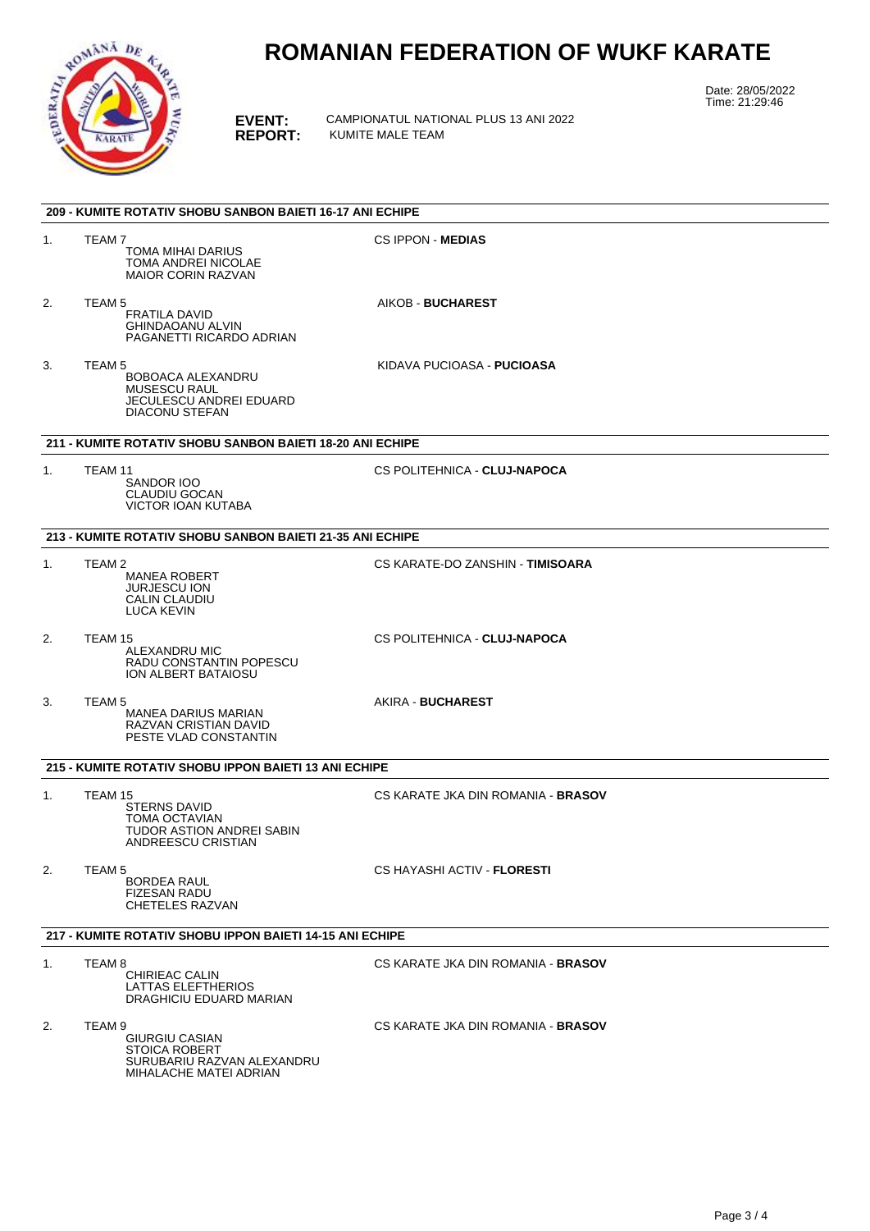

## **ROMANIAN FEDERATION OF WUKF KARATE**

**EVENT:** CAMPIONATUL NATIONAL PLUS 13 ANI 2022 **REPORT:** KUMITE MALE TEAM

Date: 28/05/2022 Time: 21:29:46

|                | 209 - KUMITE ROTATIV SHOBU SANBON BAIETI 16-17 ANI ECHIPE                                                                |                                    |
|----------------|--------------------------------------------------------------------------------------------------------------------------|------------------------------------|
| 1.             | TEAM 7<br>TOMA MIHAI DARIUS<br><b>TOMA ANDREI NICOLAE</b><br><b>MAIOR CORIN RAZVAN</b>                                   | <b>CS IPPON - MEDIAS</b>           |
| 2.             | TEAM <sub>5</sub><br><b>FRATILA DAVID</b><br><b>GHINDAOANU ALVIN</b><br>PAGANETTI RICARDO ADRIAN                         | AIKOB - BUCHAREST                  |
| 3.             | TEAM <sub>5</sub><br>BOBOACA ALEXANDRU<br><b>MUSESCU RAUL</b><br><b>JECULESCU ANDREI EDUARD</b><br><b>DIACONU STEFAN</b> | KIDAVA PUCIOASA - <b>PUCIOASA</b>  |
|                | 211 - KUMITE ROTATIV SHOBU SANBON BAIETI 18-20 ANI ECHIPE                                                                |                                    |
| 1.             | TEAM 11<br>SANDOR IOO<br>CLAUDIU GOCAN<br><b>VICTOR IOAN KUTABA</b>                                                      | CS POLITEHNICA - CLUJ-NAPOCA       |
|                | 213 - KUMITE ROTATIV SHOBU SANBON BAIETI 21-35 ANI ECHIPE                                                                |                                    |
| $\mathbf{1}$ . | TEAM 2<br><b>MANEA ROBERT</b><br><b>JURJESCU ION</b><br>CALIN CLAUDIU<br><b>LUCA KEVIN</b>                               | CS KARATE-DO ZANSHIN - TIMISOARA   |
| 2.             | TEAM 15<br>ALEXANDRU MIC<br>RADU CONSTANTIN POPESCU<br>ION ALBERT BATAIOSU                                               | CS POLITEHNICA - CLUJ-NAPOCA       |
| 3.             | TEAM 5<br>MANEA DARIUS MARIAN<br>RAZVAN CRISTIAN DAVID<br>PESTE VLAD CONSTANTIN                                          | AKIRA - BUCHAREST                  |
|                | 215 - KUMITE ROTATIV SHOBU IPPON BAIETI 13 ANI ECHIPE                                                                    |                                    |
| 1.             | TEAM 15<br><b>STERNS DAVID</b><br>TOMA OCTAVIAN<br>TUDOR ASTION ANDREI SABIN<br>ANDREESCU CRISTIAN                       | CS KARATE JKA DIN ROMANIA - BRASOV |
| 2.             | TEAM 5<br><b>BORDEA RAUL</b><br><b>FIZESAN RADU</b><br>CHETELES RAZVAN                                                   | CS HAYASHI ACTIV - <b>FLORESTI</b> |
|                | 217 - KUMITE ROTATIV SHOBU IPPON BAIETI 14-15 ANI ECHIPE                                                                 |                                    |
| $\mathbf{1}$ . | TEAM 8<br>CHIRIEAC CALIN<br>LATTAS ELEFTHERIOS<br>DRAGHICIU EDUARD MARIAN                                                | CS KARATE JKA DIN ROMANIA - BRASOV |
| 2.             | TEAM 9<br><b>GIURGIU CASIAN</b><br><b>STOICA ROBERT</b><br>SURUBARIU RAZVAN ALEXANDRU<br>MIHALACHE MATEI ADRIAN          | CS KARATE JKA DIN ROMANIA - BRASOV |